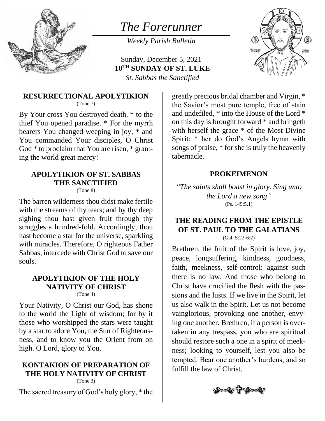

# *The Forerunner*

*Weekly Parish Bulletin*

Sunday, December 5, 2021 **10 TH SUNDAY OF ST. LUKE** *St. Sabbas the Sanctified*



#### **RESURRECTIONAL APOLYTIKION** (Tone 7)

By Your cross You destroyed death, \* to the thief You opened paradise. \* For the myrrh bearers You changed weeping in joy, \* and You commanded Your disciples, O Christ God \* to proclaim that You are risen, \* granting the world great mercy!

#### **APOLYTIKION OF ST. SABBAS THE SANCTIFIED** (Tone 8)

The barren wilderness thou didst make fertile with the streams of thy tears; and by thy deep sighing thou hast given fruit through thy struggles a hundred-fold. Accordingly, thou hast become a star for the universe, sparkling with miracles. Therefore, O righteous Father Sabbas, intercede with Christ God to save our souls.

#### **APOLYTIKION OF THE HOLY NATIVITY OF CHRIST** (Tone 4)

Your Nativity, O Christ our God, has shone to the world the Light of wisdom; for by it those who worshipped the stars were taught by a star to adore You, the Sun of Righteousness, and to know you the Orient from on high. O Lord, glory to You.

## **KONTAKION OF PREPARATION OF THE HOLY NATIVITY OF CHRIST**

(Tone 3)

The sacred treasury of God's holy glory, \* the

greatly precious bridal chamber and Virgin, \* the Savior's most pure temple, free of stain and undefiled, \* into the House of the Lord \* on this day is brought forward \* and bringeth with herself the grace  $*$  of the Most Divine Spirit; \* her do God's Angels hymn with songs of praise, \* for she is truly the heavenly tabernacle.

#### **PROKEIMENON**

*"The saints shall boast in glory. Sing unto the Lord a new song"* (Ps. 149:5,1)

# **THE READING FROM THE EPISTLE OF ST. PAUL TO THE GALATIANS**

(Gal. 5:22-6:2)

Brethren, the fruit of the Spirit is love, joy, peace, longsuffering, kindness, goodness, faith, meekness, self-control: against such there is no law. And those who belong to Christ have crucified the flesh with the passions and the lusts. If we live in the Spirit, let us also walk in the Spirit. Let us not become vainglorious, provoking one another, envying one another. Brethren, if a person is overtaken in any trespass, you who are spiritual should restore such a one in a spirit of meekness; looking to yourself, lest you also be tempted. Bear one another's burdens, and so fulfill the law of Christ.

**৩৯০২০ 57 ৩৯০২**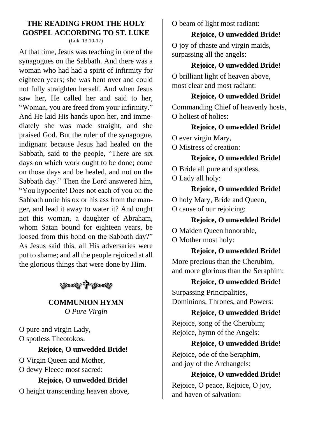## **THE READING FROM THE HOLY GOSPEL ACCORDING TO ST. LUKE**

(Luk. 13:10-17)

At that time, Jesus was teaching in one of the synagogues on the Sabbath. And there was a woman who had had a spirit of infirmity for eighteen years; she was bent over and could not fully straighten herself. And when Jesus saw her, He called her and said to her, "Woman, you are freed from your infirmity." And He laid His hands upon her, and immediately she was made straight, and she praised God. But the ruler of the synagogue, indignant because Jesus had healed on the Sabbath, said to the people, "There are six days on which work ought to be done; come on those days and be healed, and not on the Sabbath day." Then the Lord answered him, "You hypocrite! Does not each of you on the Sabbath untie his ox or his ass from the manger, and lead it away to water it? And ought not this woman, a daughter of Abraham, whom Satan bound for eighteen years, be loosed from this bond on the Sabbath day?" As Jesus said this, all His adversaries were put to shame; and all the people rejoiced at all the glorious things that were done by Him.

(9022)1 (9022)

#### **COMMUNION HYMN** *O Pure Virgin*

O pure and virgin Lady, O spotless Theotokos:

#### **Rejoice, O unwedded Bride!**

O Virgin Queen and Mother, O dewy Fleece most sacred:

**Rejoice, O unwedded Bride!** O height transcending heaven above, O beam of light most radiant:

#### **Rejoice, O unwedded Bride!**

O joy of chaste and virgin maids, surpassing all the angels:

## **Rejoice, O unwedded Bride!**

O brilliant light of heaven above, most clear and most radiant:

## **Rejoice, O unwedded Bride!** Commanding Chief of heavenly hosts, O holiest of holies:

**Rejoice, O unwedded Bride!**

O ever virgin Mary,

O Mistress of creation:

#### **Rejoice, O unwedded Bride!**

O Bride all pure and spotless, O Lady all holy:

**Rejoice, O unwedded Bride!** O holy Mary, Bride and Queen, O cause of our rejoicing:

#### **Rejoice, O unwedded Bride!**

O Maiden Queen honorable, O Mother most holy:

**Rejoice, O unwedded Bride!** More precious than the Cherubim, and more glorious than the Seraphim:

#### **Rejoice, O unwedded Bride!**

Surpassing Principalities, Dominions, Thrones, and Powers:

**Rejoice, O unwedded Bride!**

Rejoice, song of the Cherubim; Rejoice, hymn of the Angels:

**Rejoice, O unwedded Bride!** Rejoice, ode of the Seraphim, and joy of the Archangels:

## **Rejoice, O unwedded Bride!** Rejoice, O peace, Rejoice, O joy,

and haven of salvation: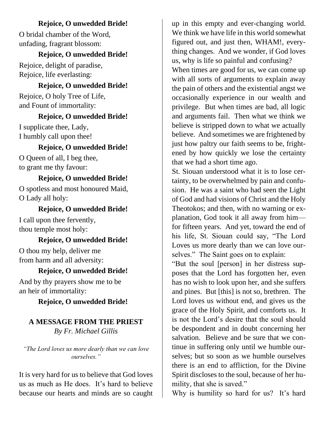### **Rejoice, O unwedded Bride!**

O bridal chamber of the Word, unfading, fragrant blossom:

## **Rejoice, O unwedded Bride!**

Rejoice, delight of paradise, Rejoice, life everlasting:

# **Rejoice, O unwedded Bride!**

Rejoice, O holy Tree of Life, and Fount of immortality:

## **Rejoice, O unwedded Bride!**

I supplicate thee, Lady, I humbly call upon thee!

## **Rejoice, O unwedded Bride!**

O Queen of all, I beg thee, to grant me thy favour:

## **Rejoice, O unwedded Bride!**

O spotless and most honoured Maid, O Lady all holy:

## **Rejoice, O unwedded Bride!**

I call upon thee fervently, thou temple most holy:

## **Rejoice, O unwedded Bride!**

O thou my help, deliver me from harm and all adversity:

## **Rejoice, O unwedded Bride!**

And by thy prayers show me to be an heir of immortality:

## **Rejoice, O unwedded Bride!**

## **A MESSAGE FROM THE PRIEST**

*By Fr. Michael Gillis*

*"The Lord loves us more dearly than we can love ourselves."*

It is very hard for us to believe that God loves us as much as He does. It's hard to believe because our hearts and minds are so caught

up in this empty and ever-changing world. We think we have life in this world somewhat figured out, and just then, WHAM!, everything changes. And we wonder, if God loves us, why is life so painful and confusing? When times are good for us, we can come up with all sorts of arguments to explain away the pain of others and the existential angst we occasionally experience in our wealth and privilege. But when times are bad, all logic and arguments fail. Then what we think we believe is stripped down to what we actually believe. And sometimes we are frightened by just how paltry our faith seems to be, frightened by how quickly we lose the certainty that we had a short time ago.

St. Siouan understood what it is to lose certainty, to be overwhelmed by pain and confusion. He was a saint who had seen the Light of God and had visions of Christ and the Holy Theotokos; and then, with no warning or explanation, God took it all away from him for fifteen years. And yet, toward the end of his life, St. Siouan could say, "The Lord Loves us more dearly than we can love ourselves." The Saint goes on to explain:

"But the soul [person] in her distress supposes that the Lord has forgotten her, even has no wish to look upon her, and she suffers and pines. But [this] is not so, brethren. The Lord loves us without end, and gives us the grace of the Holy Spirit, and comforts us. It is not the Lord's desire that the soul should be despondent and in doubt concerning her salvation. Believe and be sure that we continue in suffering only until we humble ourselves; but so soon as we humble ourselves there is an end to affliction, for the Divine Spirit discloses to the soul, because of her humility, that she is saved."

Why is humility so hard for us? It's hard